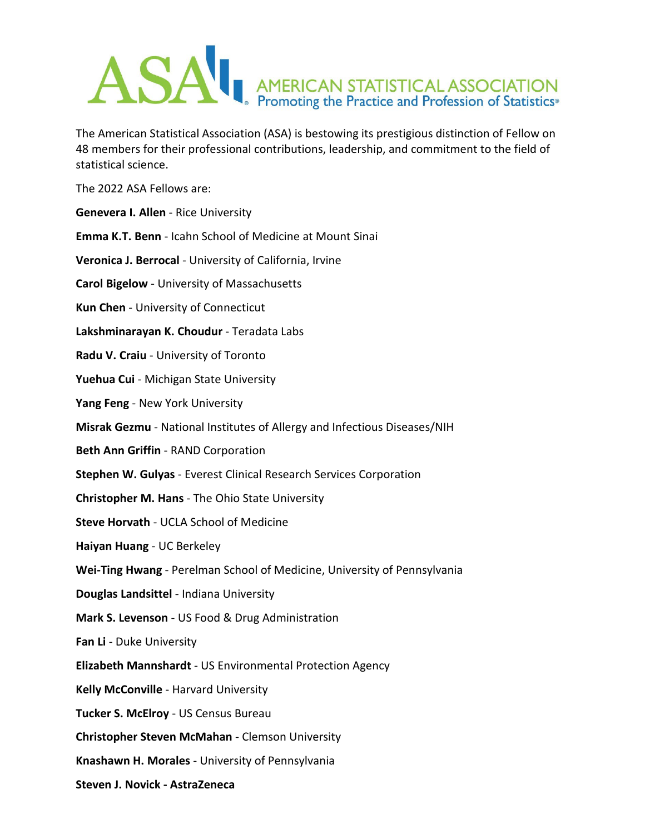

The American Statistical Association (ASA) is bestowing its prestigious distinction of Fellow on 48 members for their professional contributions, leadership, and commitment to the field of statistical science.

The 2022 ASA Fellows are:

**Genevera I. Allen** - Rice University **Emma K.T. Benn** - Icahn School of Medicine at Mount Sinai **Veronica J. Berrocal** - University of California, Irvine **Carol Bigelow** - University of Massachusetts **Kun Chen** - University of Connecticut **Lakshminarayan K. Choudur** - Teradata Labs **Radu V. Craiu** - University of Toronto **Yuehua Cui** - Michigan State University **Yang Feng** - New York University **Misrak Gezmu** - National Institutes of Allergy and Infectious Diseases/NIH **Beth Ann Griffin** - RAND Corporation **Stephen W. Gulyas** - Everest Clinical Research Services Corporation **Christopher M. Hans** - The Ohio State University **Steve Horvath** - UCLA School of Medicine **Haiyan Huang** - UC Berkeley **Wei-Ting Hwang** - Perelman School of Medicine, University of Pennsylvania **Douglas Landsittel** - Indiana University **Mark S. Levenson** - US Food & Drug Administration **Fan Li** - Duke University **Elizabeth Mannshardt** - US Environmental Protection Agency **Kelly McConville** - Harvard University **Tucker S. McElroy** - US Census Bureau **Christopher Steven McMahan** - Clemson University **Knashawn H. Morales** - University of Pennsylvania **Steven J. Novick - AstraZeneca**